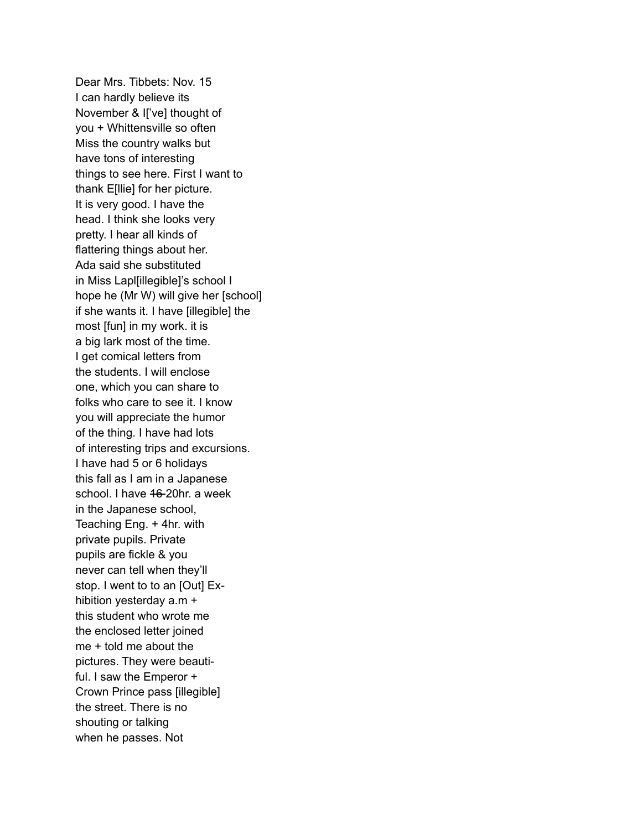Dear Mrs. Tibbets: Nov. 15 I can hardly believe its November & I['ve] thought of you + Whittensville so often Miss the country walks but have tons of interesting things to see here. First I want to thank E[llie] for her picture. It is very good. I have the head. I think she looks very pretty. I hear all kinds of flattering things about her. Ada said she substituted in Miss Lapl[illegible]'s school I hope he (Mr W) will give her [school] if she wants it. I have [illegible] the most [fun] in my work. it is a big lark most of the time. I get comical letters from the students. I will enclose one, which you can share to folks who care to see it. I know you will appreciate the humor of the thing. I have had lots of interesting trips and excursions. I have had 5 or 6 holidays this fall as I am in a Japanese school. I have 46-20hr. a week in the Japanese school, Teaching Eng. + 4hr. with private pupils. Private pupils are fickle & you never can tell when they'll stop. I went to to an [Out] Exhibition yesterday a.m + this student who wrote me the enclosed letter joined me + told me about the pictures. They were beautiful. I saw the Emperor + Crown Prince pass [illegible] the street. There is no shouting or talking when he passes. Not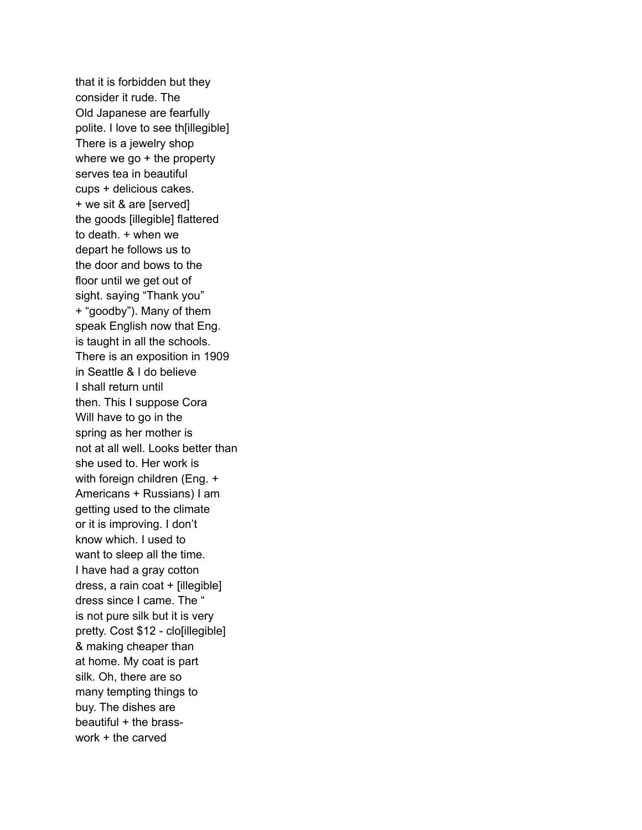that it is forbidden but they consider it rude. The Old Japanese are fearfully polite. I love to see th[illegible] There is a jewelry shop where we go  $+$  the property serves tea in beautiful cups + delicious cakes. + we sit & are [served] the goods [illegible] flattered to death. + when we depart he follows us to the door and bows to the floor until we get out of sight. saying "Thank you" + "goodby"). Many of them speak English now that Eng. is taught in all the schools. There is an exposition in 1909 in Seattle & I do believe I shall return until then. This I suppose Cora Will have to go in the spring as her mother is not at all well. Looks better than she used to. Her work is with foreign children (Eng. + Americans + Russians) I am getting used to the climate or it is improving. I don't know which. I used to want to sleep all the time. I have had a gray cotton dress, a rain coat + [illegible] dress since I came. The " is not pure silk but it is very pretty. Cost \$12 - clo[illegible] & making cheaper than at home. My coat is part silk. Oh, there are so many tempting things to buy. The dishes are beautiful + the brasswork + the carved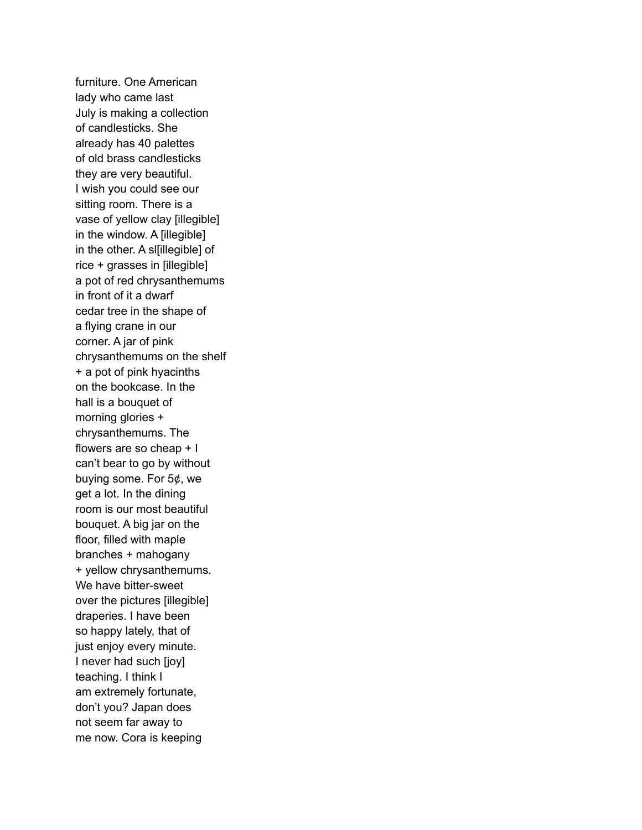furniture. One American lady who came last July is making a collection of candlesticks. She already has 40 palettes of old brass candlesticks they are very beautiful. I wish you could see our sitting room. There is a vase of yellow clay [illegible] in the window. A [illegible] in the other. A sl[illegible] of rice + grasses in [illegible] a pot of red chrysanthemums in front of it a dwarf cedar tree in the shape of a flying crane in our corner. A jar of pink chrysanthemums on the shelf + a pot of pink hyacinths on the bookcase. In the hall is a bouquet of morning glories + chrysanthemums. The flowers are so cheap + I can't bear to go by without buying some. For 5¢, we get a lot. In the dining room is our most beautiful bouquet. A big jar on the floor, filled with maple branches + mahogany + yellow chrysanthemums. We have bitter-sweet over the pictures [illegible] draperies. I have been so happy lately, that of just enjoy every minute. I never had such [joy] teaching. I think I am extremely fortunate, don't you? Japan does not seem far away to me now. Cora is keeping